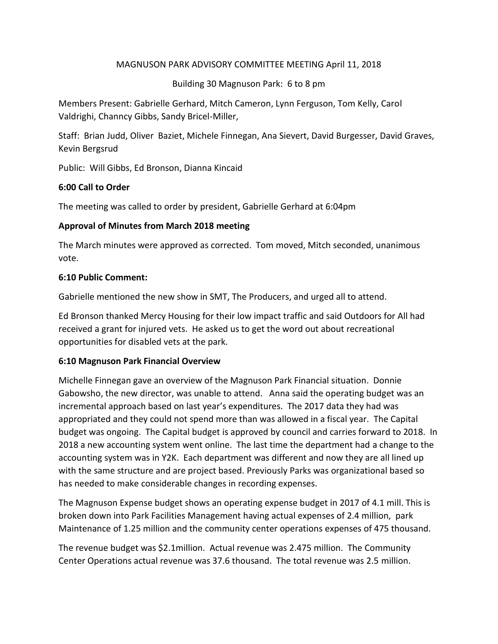## MAGNUSON PARK ADVISORY COMMITTEE MEETING April 11, 2018

Building 30 Magnuson Park: 6 to 8 pm

Members Present: Gabrielle Gerhard, Mitch Cameron, Lynn Ferguson, Tom Kelly, Carol Valdrighi, Channcy Gibbs, Sandy Bricel-Miller,

Staff: Brian Judd, Oliver Baziet, Michele Finnegan, Ana Sievert, David Burgesser, David Graves, Kevin Bergsrud

Public: Will Gibbs, Ed Bronson, Dianna Kincaid

## **6:00 Call to Order**

The meeting was called to order by president, Gabrielle Gerhard at 6:04pm

## **Approval of Minutes from March 2018 meeting**

The March minutes were approved as corrected. Tom moved, Mitch seconded, unanimous vote.

## **6:10 Public Comment:**

Gabrielle mentioned the new show in SMT, The Producers, and urged all to attend.

Ed Bronson thanked Mercy Housing for their low impact traffic and said Outdoors for All had received a grant for injured vets. He asked us to get the word out about recreational opportunities for disabled vets at the park.

# **6:10 Magnuson Park Financial Overview**

Michelle Finnegan gave an overview of the Magnuson Park Financial situation. Donnie Gabowsho, the new director, was unable to attend. Anna said the operating budget was an incremental approach based on last year's expenditures. The 2017 data they had was appropriated and they could not spend more than was allowed in a fiscal year. The Capital budget was ongoing. The Capital budget is approved by council and carries forward to 2018. In 2018 a new accounting system went online. The last time the department had a change to the accounting system was in Y2K. Each department was different and now they are all lined up with the same structure and are project based. Previously Parks was organizational based so has needed to make considerable changes in recording expenses.

The Magnuson Expense budget shows an operating expense budget in 2017 of 4.1 mill. This is broken down into Park Facilities Management having actual expenses of 2.4 million, park Maintenance of 1.25 million and the community center operations expenses of 475 thousand.

The revenue budget was \$2.1million. Actual revenue was 2.475 million. The Community Center Operations actual revenue was 37.6 thousand. The total revenue was 2.5 million.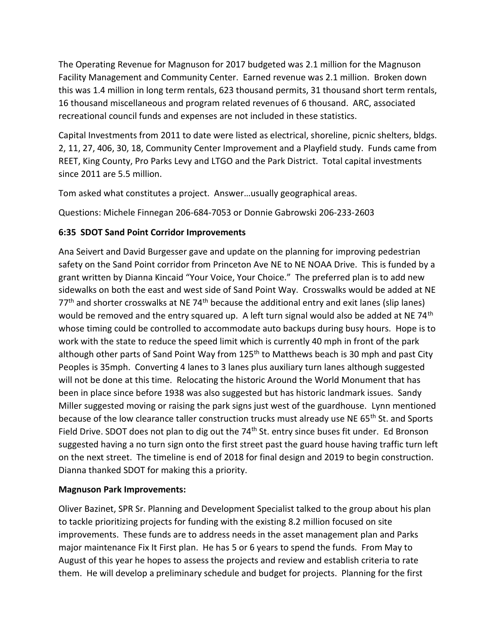The Operating Revenue for Magnuson for 2017 budgeted was 2.1 million for the Magnuson Facility Management and Community Center. Earned revenue was 2.1 million. Broken down this was 1.4 million in long term rentals, 623 thousand permits, 31 thousand short term rentals, 16 thousand miscellaneous and program related revenues of 6 thousand. ARC, associated recreational council funds and expenses are not included in these statistics.

Capital Investments from 2011 to date were listed as electrical, shoreline, picnic shelters, bldgs. 2, 11, 27, 406, 30, 18, Community Center Improvement and a Playfield study. Funds came from REET, King County, Pro Parks Levy and LTGO and the Park District. Total capital investments since 2011 are 5.5 million.

Tom asked what constitutes a project. Answer…usually geographical areas.

Questions: Michele Finnegan 206-684-7053 or Donnie Gabrowski 206-233-2603

# **6:35 SDOT Sand Point Corridor Improvements**

Ana Seivert and David Burgesser gave and update on the planning for improving pedestrian safety on the Sand Point corridor from Princeton Ave NE to NE NOAA Drive. This is funded by a grant written by Dianna Kincaid "Your Voice, Your Choice." The preferred plan is to add new sidewalks on both the east and west side of Sand Point Way. Crosswalks would be added at NE  $77<sup>th</sup>$  and shorter crosswalks at NE 74<sup>th</sup> because the additional entry and exit lanes (slip lanes) would be removed and the entry squared up. A left turn signal would also be added at NE 74<sup>th</sup> whose timing could be controlled to accommodate auto backups during busy hours. Hope is to work with the state to reduce the speed limit which is currently 40 mph in front of the park although other parts of Sand Point Way from  $125<sup>th</sup>$  to Matthews beach is 30 mph and past City Peoples is 35mph. Converting 4 lanes to 3 lanes plus auxiliary turn lanes although suggested will not be done at this time. Relocating the historic Around the World Monument that has been in place since before 1938 was also suggested but has historic landmark issues. Sandy Miller suggested moving or raising the park signs just west of the guardhouse. Lynn mentioned because of the low clearance taller construction trucks must already use NE 65<sup>th</sup> St. and Sports Field Drive. SDOT does not plan to dig out the 74<sup>th</sup> St. entry since buses fit under. Ed Bronson suggested having a no turn sign onto the first street past the guard house having traffic turn left on the next street. The timeline is end of 2018 for final design and 2019 to begin construction. Dianna thanked SDOT for making this a priority.

# **Magnuson Park Improvements:**

Oliver Bazinet, SPR Sr. Planning and Development Specialist talked to the group about his plan to tackle prioritizing projects for funding with the existing 8.2 million focused on site improvements. These funds are to address needs in the asset management plan and Parks major maintenance Fix It First plan. He has 5 or 6 years to spend the funds. From May to August of this year he hopes to assess the projects and review and establish criteria to rate them. He will develop a preliminary schedule and budget for projects. Planning for the first